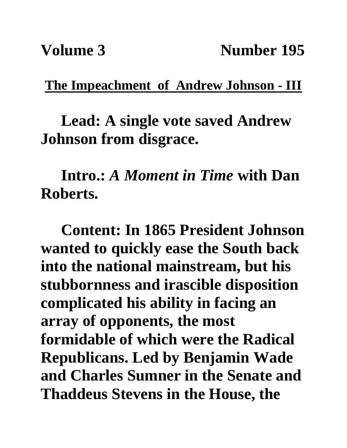**The Impeachment of Andrew Johnson - III**

**Lead: A single vote saved Andrew Johnson from disgrace.**

**Intro.:** *A Moment in Time* **with Dan Roberts.**

**Content: In 1865 President Johnson wanted to quickly ease the South back into the national mainstream, but his stubbornness and irascible disposition complicated his ability in facing an array of opponents, the most formidable of which were the Radical Republicans. Led by Benjamin Wade and Charles Sumner in the Senate and Thaddeus Stevens in the House, the**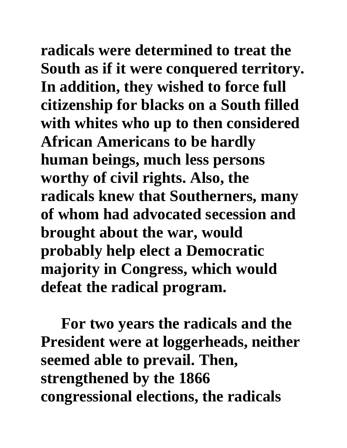**radicals were determined to treat the South as if it were conquered territory. In addition, they wished to force full citizenship for blacks on a South filled with whites who up to then considered African Americans to be hardly human beings, much less persons worthy of civil rights. Also, the radicals knew that Southerners, many of whom had advocated secession and brought about the war, would probably help elect a Democratic majority in Congress, which would defeat the radical program.** 

**For two years the radicals and the President were at loggerheads, neither seemed able to prevail. Then, strengthened by the 1866 congressional elections, the radicals**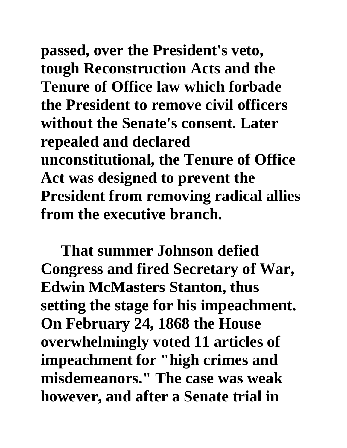**passed, over the President's veto, tough Reconstruction Acts and the Tenure of Office law which forbade the President to remove civil officers without the Senate's consent. Later repealed and declared unconstitutional, the Tenure of Office Act was designed to prevent the President from removing radical allies from the executive branch.** 

**That summer Johnson defied Congress and fired Secretary of War, Edwin McMasters Stanton, thus setting the stage for his impeachment. On February 24, 1868 the House overwhelmingly voted 11 articles of impeachment for "high crimes and misdemeanors." The case was weak however, and after a Senate trial in**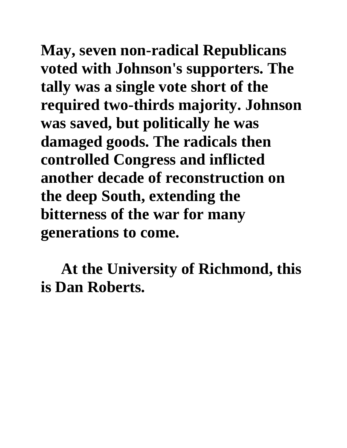**May, seven non-radical Republicans voted with Johnson's supporters. The tally was a single vote short of the required two-thirds majority. Johnson was saved, but politically he was damaged goods. The radicals then controlled Congress and inflicted another decade of reconstruction on the deep South, extending the bitterness of the war for many generations to come.**

**At the University of Richmond, this is Dan Roberts.**